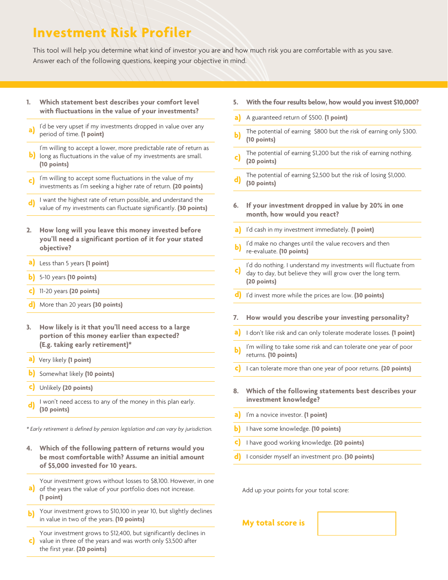## **Investment Risk Profiler**

This tool will help you determine what kind of investor you are and how much risk you are comfortable with as you save. Answer each of the following questions, keeping your objective in mind.

- **1. Which statement best describes your comfort level with fluctuations in the value of your investments?**
- I'd be very upset if my investments dropped in value over any period of time. **(1 point) a)**
- I'm willing to accept a lower, more predictable rate of return as **b**) long as fluctuations in the value of my investments are small. **(10 points)**
- I'm willing to accept some fluctuations in the value of my investments as I'm seeking a higher rate of return. **(20 points) c)**
- I want the highest rate of return possible, and understand the value of my investments can fluctuate significantly. **(30 points) d)**
- **2. How long will you leave this money invested before you'll need a significant portion of it for your stated objective?**
- Less than 5 years **(1 point) a)**
- 5-10 years **(10 points) b)**
- 11-20 years **(20 points) c)**
- More than 20 years **(30 points) d)**
- **3. How likely is it that you'll need access to a large portion of this money earlier than expected? (E.g. taking early retirement)\***
- Very likely **(1 point) a)**
- **b**) Somewhat likely (10 points)
- Unlikely **(20 points) c)**
- I won't need access to any of the money in this plan early. **(30 points) d)**

*\* Early retirement is defined by pension legislation and can vary by jurisdiction.* 

- **4. Which of the following pattern of returns would you be most comfortable with? Assume an initial amount of \$5,000 invested for 10 years.**
- Your investment grows without losses to \$8,100. However, in one a) of the years the value of your portfolio does not increase. **(1 point)**
- Your investment grows to \$10,100 in year 10, but slightly declines in value in two of the years. **(10 points) b)**
- Your investment grows to \$12,400, but significantly declines in value in three of the years and was worth only \$3,500 after the first year. **(20 points) c)**
- **5. With the four results below, how would you invest \$10,000?**
- A guaranteed return of \$500. **(1 point) a)**
- The potential of earning \$800 but the risk of earning only \$300. **(10 points) b)**
- The potential of earning \$1,200 but the risk of earning nothing. **(20 points) c)**
- The potential of earning \$2,500 but the risk of losing \$1,000. **(30 points) d)**
- **6. If your investment dropped in value by 20% in one month, how would you react?**
- I'd cash in my investment immediately. **(1 point) a)**
- I'd make no changes until the value recovers and then re-evaluate. **(10 points) b)**
- I'd do nothing. I understand my investments will fluctuate from day to day, but believe they will grow over the long term. **(20 points) c)**
- **d**) I'd invest more while the prices are low. (30 points)
- **7. How would you describe your investing personality?**
- I don't like risk and can only tolerate moderate losses. **(1 point) a)**
- I'm willing to take some risk and can tolerate one year of poor returns. **(10 points) b)**
- I can tolerate more than one year of poor returns. **(20 points) c)**
- **8. Which of the following statements best describes your investment knowledge?**
- I'm a novice investor. **(1 point) a)**
- I have some knowledge. **(10 points) b)**
- I have good working knowledge. **(20 points) c)**
- I consider myself an investment pro. **(30 points) d)**

Add up your points for your total score:

## **My total score is**